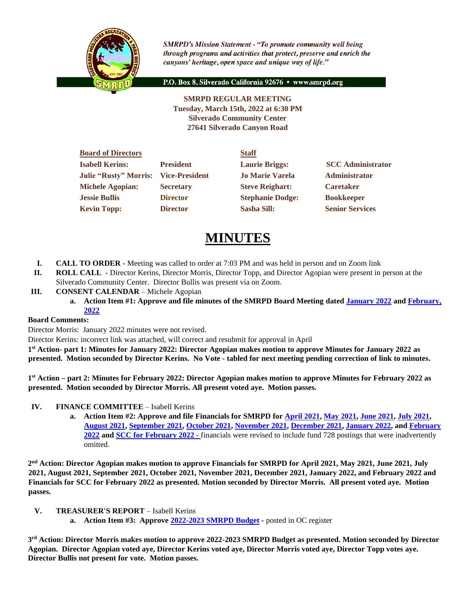

**SMRPD's Mission Statement - "To promote community well being** through programs and activities that protect, preserve and enrich the canyons' heritage, open space and unique way of life."

P.O. Box 8, Silverado California 92676 · www.smrpd.org

**SMRPD REGULAR MEETING Tuesday, March 15th, 2022 at 6:30 PM Silverado Community Center 27641 Silverado Canyon Road**

| <b>Board of Directors</b>    |                       | <b>Staff</b>            |                          |
|------------------------------|-----------------------|-------------------------|--------------------------|
| <b>Isabell Kerins:</b>       | <b>President</b>      | <b>Laurie Briggs:</b>   | <b>SCC</b> Administrator |
| <b>Julie "Rusty" Morris:</b> | <b>Vice-President</b> | <b>Jo Marie Varela</b>  | <b>Administrator</b>     |
| <b>Michele Agopian:</b>      | <b>Secretary</b>      | <b>Steve Reighart:</b>  | <b>Caretaker</b>         |
| <b>Jessie Bullis</b>         | <b>Director</b>       | <b>Stephanie Dodge:</b> | <b>Bookkeeper</b>        |
| <b>Kevin Topp:</b>           | <b>Director</b>       | <b>Sasha Sill:</b>      | <b>Senior Services</b>   |
|                              |                       |                         |                          |

# **MINUTES**

- **I. CALL TO ORDER -** Meeting was called to order at 7:03 PM and was held in person and on Zoom link
- **II. ROLL CALL -** Director Kerins, Director Morris, Director Topp, and Director Agopian were present in person at the Silverado Community Center. Director Bullis was present via on Zoom.
- **III. CONSENT CALENDAR** Michele Agopian
	- **a. Action Item #1: Approve and file minutes of the SMRPD Board Meeting dated [January 2022](https://1drv.ms/b/s!An_OKisCbP0FmB4LbYkKIYNs2ZI9?e=ojC5IQ) an[d February,](https://1drv.ms/w/s!An_OKisCbP0FmXgt9fxh2w65Gmqg?e=CFYG7i)  [2022](https://1drv.ms/w/s!An_OKisCbP0FmXgt9fxh2w65Gmqg?e=CFYG7i)**

## **Board Comments:**

Director Morris: January 2022 minutes were not revised.

Director Kerins: incorrect link was attached, will correct and resubmit for approval in April

**1 st Action- part 1: Minutes for January 2022: Director Agopian makes motion to approve Minutes for January 2022 as presented. Motion seconded by Director Kerins. No Vote - tabled for next meeting pending correction of link to minutes.**

**1 st Action – part 2: Minutes for February 2022: Director Agopian makes motion to approve Minutes for February 2022 as presented. Motion seconded by Director Morris. All present voted aye. Motion passes.**

- **IV. FINANCE COMMITTEE** Isabell Kerins
	- **a. Action Item #2: Approve and file Financials for SMRPD for [April 2021,](https://1drv.ms/b/s!An_OKisCbP0Fmg-WO-FJ9k0BUvap?e=YFD1J2) [May 2021,](https://1drv.ms/b/s!An_OKisCbP0FmhT0H5dvnOfVhOjK?e=puz3zA) [June 2021,](https://1drv.ms/b/s!An_OKisCbP0Fmhdq7-iQDsxkZUAw?e=ouw1gd) [July 2021,](https://1drv.ms/b/s!An_OKisCbP0FmjJ61Hedekm0F4DX?e=vc3mZA) [August 2021,](https://1drv.ms/b/s!An_OKisCbP0FmjZOVJVocmJy8oNe?e=842Yyb) [September 2021,](https://1drv.ms/b/s!An_OKisCbP0Fmjw-sLqotoR8ZMmi?e=UkWhJr) [October](https://1drv.ms/b/s!An_OKisCbP0Fmj64JtFSbht2D5RS?e=eCmkhJ) 2021, [November 2021,](https://1drv.ms/b/s!An_OKisCbP0FmkL_vSTw_8OPGota?e=FOvv1Z) [December 2021,](https://1drv.ms/b/s!An_OKisCbP0FmlexdaK5aqk4IDQd?e=4zIUeX) [January 2022,](https://1drv.ms/b/s!An_OKisCbP0Fml1OBbW7pI3m6MzI?e=hHbXkb) an[d February](https://1drv.ms/b/s!An_OKisCbP0FmmHIjEqwP8BJHw5n?e=u73lwL)  [2022](https://1drv.ms/b/s!An_OKisCbP0FmmHIjEqwP8BJHw5n?e=u73lwL) and [SCC for February](https://1drv.ms/b/s!An_OKisCbP0Fm2BUnsSJ5VtfmWTT?e=IgsWD2) 2022 -** financials were revised to include fund 728 postings that were inadvertently omitted.

**2 nd Action: Director Agopian makes motion to approve Financials for SMRPD for April 2021, May 2021, June 2021, July 2021, August 2021, September 2021, October 2021, November 2021, December 2021, January 2022, and February 2022 and Financials for SCC for February 2022 as presented. Motion seconded by Director Morris. All present voted aye. Motion passes.**

- **V. TREASURER'S REPORT** Isabell Kerins
	- **a. Action Item #3: Approve [2022-2023 SMRPD Budget](https://1drv.ms/b/s!An_OKisCbP0Fl31_YXqFVh_X0e9-?e=2Wv7li) -** posted in OC register

**3 rd Action: Director Morris makes motion to approve 2022-2023 SMRPD Budget as presented. Motion seconded by Director Agopian. Director Agopian voted aye, Director Kerins voted aye, Director Morris voted aye, Director Topp votes aye. Director Bullis not present for vote. Motion passes.**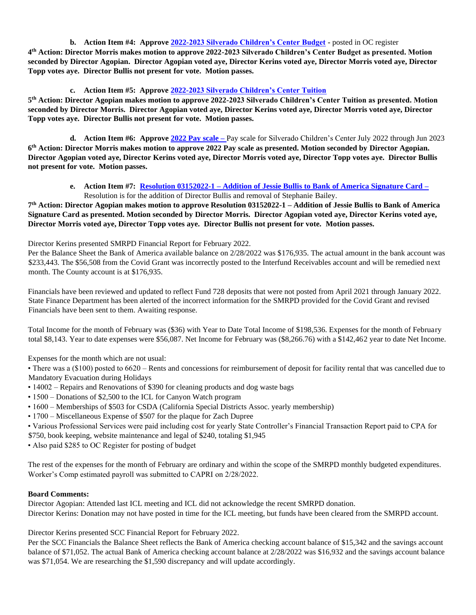## **b. Action Item #4: Approv[e 2022-2023 Silverado Children's Center Budget](https://1drv.ms/b/s!An_OKisCbP0FmChTWYeidzhprA5U?e=lIck0F) -** posted in OC register

**4 th Action: Director Morris makes motion to approve 2022-2023 Silverado Children's Center Budget as presented. Motion seconded by Director Agopian. Director Agopian voted aye, Director Kerins voted aye, Director Morris voted aye, Director Topp votes aye. Director Bullis not present for vote. Motion passes.**

## **c. Action Item #5: Approve [2022-2023 Silverado Children's Center Tuition](https://1drv.ms/b/s!An_OKisCbP0FmAavZcYHh1ZhrqKd?e=RlLP00)**

**5 th Action: Director Agopian makes motion to approve 2022-2023 Silverado Children's Center Tuition as presented. Motion seconded by Director Morris. Director Agopian voted aye, Director Kerins voted aye, Director Morris voted aye, Director Topp votes aye. Director Bullis not present for vote. Motion passes.**

**d. Action Item #6: Approv[e 2022 Pay scale](https://1drv.ms/b/s!An_OKisCbP0FmANyayD2VFY61z64?e=pcuCnN) –** Pay scale for Silverado Children's Center July 2022 through Jun 2023 **6 th Action: Director Morris makes motion to approve 2022 Pay scale as presented. Motion seconded by Director Agopian. Director Agopian voted aye, Director Kerins voted aye, Director Morris voted aye, Director Topp votes aye. Director Bullis not present for vote. Motion passes.**

## **e. Action Item #7: Resolution 03152022-1 – [Addition of Jessie Bullis to Bank of America Signature Card](https://1drv.ms/b/s!An_OKisCbP0FmnUkvYnnGxPcUVP3?e=4zmK80) –** Resolution is for the addition of Director Bullis and removal of Stephanie Bailey.

**7 th Action: Director Agopian makes motion to approve Resolution 03152022-1 – Addition of Jessie Bullis to Bank of America Signature Card as presented. Motion seconded by Director Morris. Director Agopian voted aye, Director Kerins voted aye, Director Morris voted aye, Director Topp votes aye. Director Bullis not present for vote. Motion passes.**

Director Kerins presented SMRPD Financial Report for February 2022.

Per the Balance Sheet the Bank of America available balance on 2/28/2022 was \$176,935. The actual amount in the bank account was \$233,443. The \$56,508 from the Covid Grant was incorrectly posted to the Interfund Receivables account and will be remedied next month. The County account is at \$176,935.

Financials have been reviewed and updated to reflect Fund 728 deposits that were not posted from April 2021 through January 2022. State Finance Department has been alerted of the incorrect information for the SMRPD provided for the Covid Grant and revised Financials have been sent to them. Awaiting response.

Total Income for the month of February was (\$36) with Year to Date Total Income of \$198,536. Expenses for the month of February total \$8,143. Year to date expenses were \$56,087. Net Income for February was (\$8,266.76) with a \$142,462 year to date Net Income.

Expenses for the month which are not usual:

• There was a (\$100) posted to 6620 – Rents and concessions for reimbursement of deposit for facility rental that was cancelled due to Mandatory Evacuation during Holidays

- 14002 Repairs and Renovations of \$390 for cleaning products and dog waste bags
- 1500 Donations of \$2,500 to the ICL for Canyon Watch program
- 1600 Memberships of \$503 for CSDA (California Special Districts Assoc. yearly membership)
- 1700 Miscellaneous Expense of \$507 for the plaque for Zach Dupree
- Various Professional Services were paid including cost for yearly State Controller's Financial Transaction Report paid to CPA for
- \$750, book keeping, website maintenance and legal of \$240, totaling \$1,945
- Also paid \$285 to OC Register for posting of budget

The rest of the expenses for the month of February are ordinary and within the scope of the SMRPD monthly budgeted expenditures. Worker's Comp estimated payroll was submitted to CAPRI on 2/28/2022.

## **Board Comments:**

Director Agopian: Attended last ICL meeting and ICL did not acknowledge the recent SMRPD donation. Director Kerins: Donation may not have posted in time for the ICL meeting, but funds have been cleared from the SMRPD account.

Director Kerins presented SCC Financial Report for February 2022.

Per the SCC Financials the Balance Sheet reflects the Bank of America checking account balance of \$15,342 and the savings account balance of \$71,052. The actual Bank of America checking account balance at 2/28/2022 was \$16,932 and the savings account balance was \$71,054. We are researching the \$1,590 discrepancy and will update accordingly.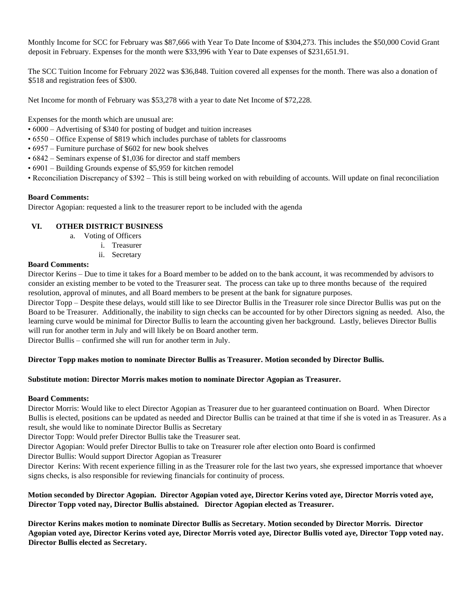Monthly Income for SCC for February was \$87,666 with Year To Date Income of \$304,273. This includes the \$50,000 Covid Grant deposit in February. Expenses for the month were \$33,996 with Year to Date expenses of \$231,651.91.

The SCC Tuition Income for February 2022 was \$36,848. Tuition covered all expenses for the month. There was also a donation of \$518 and registration fees of \$300.

Net Income for month of February was \$53,278 with a year to date Net Income of \$72,228.

Expenses for the month which are unusual are:

- 6000 Advertising of \$340 for posting of budget and tuition increases
- 6550 Office Expense of \$819 which includes purchase of tablets for classrooms
- 6957 Furniture purchase of \$602 for new book shelves
- 6842 Seminars expense of \$1,036 for director and staff members
- 6901 Building Grounds expense of \$5,959 for kitchen remodel
- Reconciliation Discrepancy of \$392 This is still being worked on with rebuilding of accounts. Will update on final reconciliation

## **Board Comments:**

Director Agopian: requested a link to the treasurer report to be included with the agenda

## **VI. OTHER DISTRICT BUSINESS**

- a. Voting of Officers
	- i. Treasurer
	- ii. Secretary

## **Board Comments:**

Director Kerins – Due to time it takes for a Board member to be added on to the bank account, it was recommended by advisors to consider an existing member to be voted to the Treasurer seat. The process can take up to three months because of the required resolution, approval of minutes, and all Board members to be present at the bank for signature purposes.

Director Topp – Despite these delays, would still like to see Director Bullis in the Treasurer role since Director Bullis was put on the Board to be Treasurer. Additionally, the inability to sign checks can be accounted for by other Directors signing as needed. Also, the learning curve would be minimal for Director Bullis to learn the accounting given her background. Lastly, believes Director Bullis will run for another term in July and will likely be on Board another term.

Director Bullis – confirmed she will run for another term in July.

## **Director Topp makes motion to nominate Director Bullis as Treasurer. Motion seconded by Director Bullis.**

## **Substitute motion: Director Morris makes motion to nominate Director Agopian as Treasurer.**

## **Board Comments:**

Director Morris: Would like to elect Director Agopian as Treasurer due to her guaranteed continuation on Board. When Director Bullis is elected, positions can be updated as needed and Director Bullis can be trained at that time if she is voted in as Treasurer. As a result, she would like to nominate Director Bullis as Secretary

Director Topp: Would prefer Director Bullis take the Treasurer seat.

Director Agopian: Would prefer Director Bullis to take on Treasurer role after election onto Board is confirmed

Director Bullis: Would support Director Agopian as Treasurer

Director Kerins: With recent experience filling in as the Treasurer role for the last two years, she expressed importance that whoever signs checks, is also responsible for reviewing financials for continuity of process.

## **Motion seconded by Director Agopian. Director Agopian voted aye, Director Kerins voted aye, Director Morris voted aye, Director Topp voted nay, Director Bullis abstained. Director Agopian elected as Treasurer.**

**Director Kerins makes motion to nominate Director Bullis as Secretary. Motion seconded by Director Morris. Director Agopian voted aye, Director Kerins voted aye, Director Morris voted aye, Director Bullis voted aye, Director Topp voted nay. Director Bullis elected as Secretary.**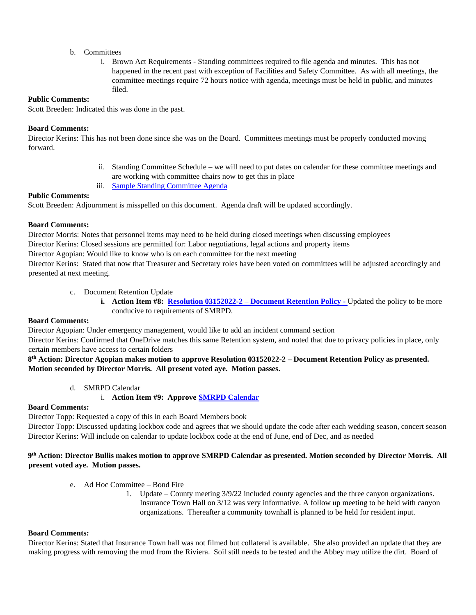#### b. Committees

i. Brown Act Requirements - Standing committees required to file agenda and minutes. This has not happened in the recent past with exception of Facilities and Safety Committee. As with all meetings, the committee meetings require 72 hours notice with agenda, meetings must be held in public, and minutes filed.

## **Public Comments:**

Scott Breeden: Indicated this was done in the past.

## **Board Comments:**

Director Kerins: This has not been done since she was on the Board. Committees meetings must be properly conducted moving forward.

- ii. Standing Committee Schedule we will need to put dates on calendar for these committee meetings and are working with committee chairs now to get this in place
- iii. [Sample Standing Committee Agenda](https://1drv.ms/b/s!An_OKisCbP0FmnBrgqhyhfnjnUml?e=UyRAPg)

## **Public Comments:**

Scott Breeden: Adjournment is misspelled on this document. Agenda draft will be updated accordingly.

## **Board Comments:**

Director Morris: Notes that personnel items may need to be held during closed meetings when discussing employees

Director Kerins: Closed sessions are permitted for: Labor negotiations, legal actions and property items

Director Agopian: Would like to know who is on each committee for the next meeting

Director Kerins: Stated that now that Treasurer and Secretary roles have been voted on committees will be adjusted accordingly and presented at next meeting.

- c. Document Retention Update
	- **i. Action Item #8: Resolution 03152022-2 – [Document Retention Policy](https://1drv.ms/b/s!An_OKisCbP0FmncyXHSFWNiE3XCC?e=Ns4q0O) -** Updated the policy to be more conducive to requirements of SMRPD.

## **Board Comments:**

Director Agopian: Under emergency management, would like to add an incident command section

Director Kerins: Confirmed that OneDrive matches this same Retention system, and noted that due to privacy policies in place, only certain members have access to certain folders

## **8 th Action: Director Agopian makes motion to approve Resolution 03152022-2 – Document Retention Policy as presented. Motion seconded by Director Morris. All present voted aye. Motion passes.**

d. SMRPD Calendar

## i. **Action Item #9: Approve [SMRPD Calendar](https://1drv.ms/b/s!An_OKisCbP0FmnpK0L2W2l8e_vKd?e=kcw1No)**

## **Board Comments:**

Director Topp: Requested a copy of this in each Board Members book

Director Topp: Discussed updating lockbox code and agrees that we should update the code after each wedding season, concert season Director Kerins: Will include on calendar to update lockbox code at the end of June, end of Dec, and as needed

## **9 th Action: Director Bullis makes motion to approve SMRPD Calendar as presented. Motion seconded by Director Morris. All present voted aye. Motion passes.**

- e. Ad Hoc Committee Bond Fire
	- 1. Update County meeting 3/9/22 included county agencies and the three canyon organizations. Insurance Town Hall on 3/12 was very informative. A follow up meeting to be held with canyon organizations. Thereafter a community townhall is planned to be held for resident input.

## **Board Comments:**

Director Kerins: Stated that Insurance Town hall was not filmed but collateral is available. She also provided an update that they are making progress with removing the mud from the Riviera. Soil still needs to be tested and the Abbey may utilize the dirt. Board of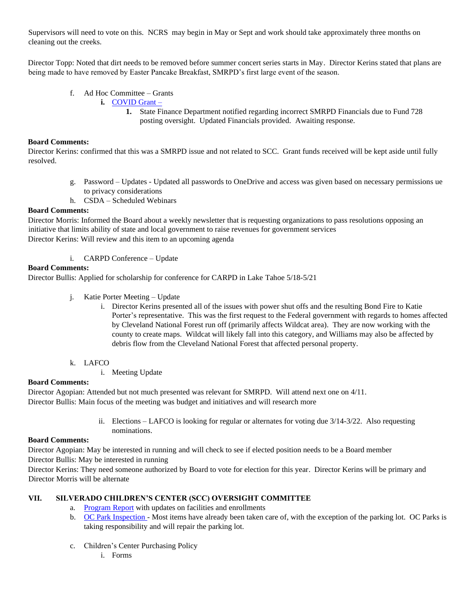Supervisors will need to vote on this. NCRS may begin in May or Sept and work should take approximately three months on cleaning out the creeks.

Director Topp: Noted that dirt needs to be removed before summer concert series starts in May. Director Kerins stated that plans are being made to have removed by Easter Pancake Breakfast, SMRPD's first large event of the season.

- f. Ad Hoc Committee Grants
	- **i.** [COVID](https://www.csda.net/advocate/take-action/covid) Grant
		- **1.** State Finance Department notified regarding incorrect SMRPD Financials due to Fund 728 posting oversight. Updated Financials provided. Awaiting response.

## **Board Comments:**

Director Kerins: confirmed that this was a SMRPD issue and not related to SCC. Grant funds received will be kept aside until fully resolved.

- g. Password Updates Updated all passwords to OneDrive and access was given based on necessary permissions ue to privacy considerations
- h. CSDA Scheduled Webinars

#### **Board Comments:**

Director Morris: Informed the Board about a weekly newsletter that is requesting organizations to pass resolutions opposing an initiative that limits ability of state and local government to raise revenues for government services Director Kerins: Will review and this item to an upcoming agenda

#### i. CARPD Conference – Update

#### **Board Comments:**

Director Bullis: Applied for scholarship for conference for CARPD in Lake Tahoe 5/18-5/21

- j. Katie Porter Meeting Update
	- i. Director Kerins presented all of the issues with power shut offs and the resulting Bond Fire to Katie Porter's representative. This was the first request to the Federal government with regards to homes affected by Cleveland National Forest run off (primarily affects Wildcat area). They are now working with the county to create maps. Wildcat will likely fall into this category, and Williams may also be affected by debris flow from the Cleveland National Forest that affected personal property.
- k. LAFCO
	- i. Meeting Update

#### **Board Comments:**

Director Agopian: Attended but not much presented was relevant for SMRPD. Will attend next one on 4/11. Director Bullis: Main focus of the meeting was budget and initiatives and will research more

> ii. Elections – LAFCO is looking for regular or alternates for voting due 3/14-3/22. Also requesting nominations.

#### **Board Comments:**

Director Agopian: May be interested in running and will check to see if elected position needs to be a Board member

Director Bullis: May be interested in running

Director Kerins: They need someone authorized by Board to vote for election for this year. Director Kerins will be primary and Director Morris will be alternate

## **VII. SILVERADO CHILDREN'S CENTER (SCC) OVERSIGHT COMMITTEE**

- a. [Program Report](https://1drv.ms/w/s!An_OKisCbP0Fmws34_HKluMIdq3A?e=76RtEM) with updates on facilities and enrollments
- b. [OC Park Inspection](https://1drv.ms/b/s!An_OKisCbP0FmnxaYBXBGGBjsH7R?e=Sr63qw) Most items have already been taken care of, with the exception of the parking lot. OC Parks is taking responsibility and will repair the parking lot.
- c. Children's Center Purchasing Policy
	- i. Forms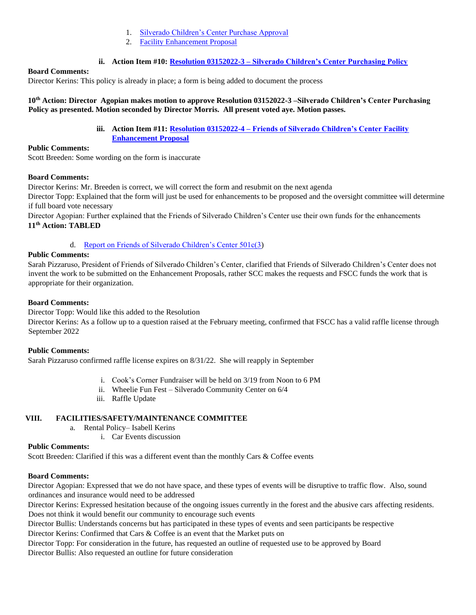- 1. [Silverado Children's Center Purchase Approval](https://1drv.ms/b/s!An_OKisCbP0Fmn3JVe9xhfiMZE7b?e=TzHHIB)
- 2. [Facility Enhancement Proposal](https://1drv.ms/b/s!An_OKisCbP0FmmxvDQrY7EXKViKs?e=l7d2Gx)

## **ii. Action Item #10: Resolution 03152022-3 – [Silverado Children's Center Purchasing Policy](https://1drv.ms/b/s!An_OKisCbP0FmwZAMn1hGjdSjL4e?e=ONfJar)**

## **Board Comments:**

Director Kerins: This policy is already in place; a form is being added to document the process

## **10th Action: Director Agopian makes motion to approve Resolution 03152022-3 –Silverado Children's Center Purchasing Policy as presented. Motion seconded by Director Morris. All present voted aye. Motion passes.**

**iii. Action Item #11: Resolution 03152022-4 – [Friends of Silverado Children's Center Facility](https://1drv.ms/b/s!An_OKisCbP0FmwjSFpvbeK8-zuqn?e=f2yuP7)  [Enhancement Proposal](https://1drv.ms/b/s!An_OKisCbP0FmwjSFpvbeK8-zuqn?e=f2yuP7)**

## **Public Comments:**

Scott Breeden: Some wording on the form is inaccurate

## **Board Comments:**

Director Kerins: Mr. Breeden is correct, we will correct the form and resubmit on the next agenda

Director Topp: Explained that the form will just be used for enhancements to be proposed and the oversight committee will determine if full board vote necessary

Director Agopian: Further explained that the Friends of Silverado Children's Center use their own funds for the enhancements **11th Action: TABLED** 

## d. [Report on Friends of Silverado Children's Center 501c\(3\)](https://1drv.ms/b/s!An_OKisCbP0FmwP5REa5vyWZbgX2?e=fUjazZ)

## **Public Comments:**

Sarah Pizzaruso, President of Friends of Silverado Children's Center, clarified that Friends of Silverado Children's Center does not invent the work to be submitted on the Enhancement Proposals, rather SCC makes the requests and FSCC funds the work that is appropriate for their organization.

## **Board Comments:**

Director Topp: Would like this added to the Resolution

Director Kerins: As a follow up to a question raised at the February meeting, confirmed that FSCC has a valid raffle license through September 2022

## **Public Comments:**

Sarah Pizzaruso confirmed raffle license expires on 8/31/22. She will reapply in September

- i. Cook's Corner Fundraiser will be held on 3/19 from Noon to 6 PM
- ii. Wheelie Fun Fest Silverado Community Center on 6/4
- iii. Raffle Update

## **VIII. FACILITIES/SAFETY/MAINTENANCE COMMITTEE**

- a. Rental Policy– Isabell Kerins
	- i. Car Events discussion

## **Public Comments:**

Scott Breeden: Clarified if this was a different event than the monthly Cars & Coffee events

## **Board Comments:**

Director Agopian: Expressed that we do not have space, and these types of events will be disruptive to traffic flow. Also, sound ordinances and insurance would need to be addressed

Director Kerins: Expressed hesitation because of the ongoing issues currently in the forest and the abusive cars affecting residents. Does not think it would benefit our community to encourage such events

Director Bullis: Understands concerns but has participated in these types of events and seen participants be respective Director Kerins: Confirmed that Cars & Coffee is an event that the Market puts on

Director Topp: For consideration in the future, has requested an outline of requested use to be approved by Board Director Bullis: Also requested an outline for future consideration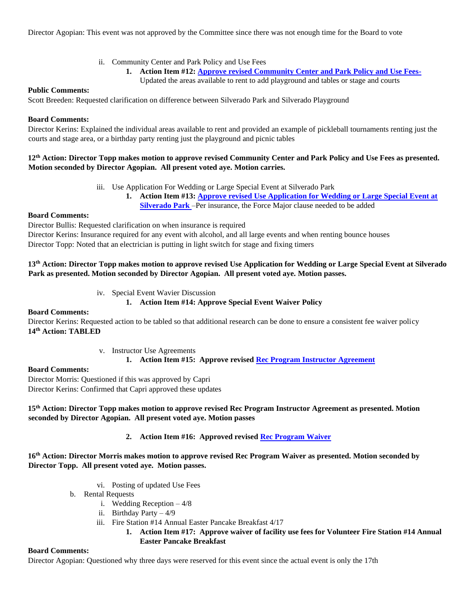Director Agopian: This event was not approved by the Committee since there was not enough time for the Board to vote

- ii. Community Center and Park Policy and Use Fees
	- **1. Action Item #12: [Approve revised Community Center and Park Policy and Use Fees-](https://1drv.ms/b/s!An_OKisCbP0Fm2EB5ikJWJQWP26E?e=aTViIH)**
		- Updated the areas available to rent to add playground and tables or stage and courts

## **Public Comments:**

Scott Breeden: Requested clarification on difference between Silverado Park and Silverado Playground

#### **Board Comments:**

Director Kerins: Explained the individual areas available to rent and provided an example of pickleball tournaments renting just the courts and stage area, or a birthday party renting just the playground and picnic tables

## **12th Action: Director Topp makes motion to approve revised Community Center and Park Policy and Use Fees as presented. Motion seconded by Director Agopian. All present voted aye. Motion carries.**

- iii. Use Application For Wedding or Large Special Event at Silverado Park
	- **1. Action Item #13: [Approve revised Use Application for Wedding or Large Special Event at](https://1drv.ms/b/s!An_OKisCbP0FmmgXJXJJSG1r2M8o?e=8byzp4)  [Silverado Park](https://1drv.ms/b/s!An_OKisCbP0FmmgXJXJJSG1r2M8o?e=8byzp4)** –Per insurance, the Force Major clause needed to be added

## **Board Comments:**

Director Bullis: Requested clarification on when insurance is required

Director Kerins: Insurance required for any event with alcohol, and all large events and when renting bounce houses Director Topp: Noted that an electrician is putting in light switch for stage and fixing timers

## **13th Action: Director Topp makes motion to approve revised Use Application for Wedding or Large Special Event at Silverado Park as presented. Motion seconded by Director Agopian. All present voted aye. Motion passes.**

iv. Special Event Wavier Discussion

## **1. Action Item #14: Approve Special Event Waiver Policy**

## **Board Comments:**

Director Kerins: Requested action to be tabled so that additional research can be done to ensure a consistent fee waiver policy **14th Action: TABLED** 

## v. Instructor Use Agreements

**1. Action Item #15: Approve revised [Rec Program Instructor Agreement](https://1drv.ms/b/s!An_OKisCbP0FmxhzFiNR1ePsxAnP?e=Se2wuU)**

## **Board Comments:**

Director Morris: Questioned if this was approved by Capri Director Kerins: Confirmed that Capri approved these updates

## **15th Action: Director Topp makes motion to approve revised Rec Program Instructor Agreement as presented. Motion seconded by Director Agopian. All present voted aye. Motion passes**

## **2. Action Item #16: Approved revised [Rec Program Waiver](https://1drv.ms/b/s!An_OKisCbP0Fmxnzmns7sGgJWTZU?e=Xt1haN)**

## **16th Action: Director Morris makes motion to approve revised Rec Program Waiver as presented. Motion seconded by Director Topp. All present voted aye. Motion passes.**

- vi. Posting of updated Use Fees
- b. Rental Requests
	- i. Wedding Reception 4/8
	- ii. Birthday Party 4/9
	- iii. Fire Station #14 Annual Easter Pancake Breakfast 4/17
		- **1. Action Item #17: Approve waiver of facility use fees for Volunteer Fire Station #14 Annual Easter Pancake Breakfast**

## **Board Comments:**

Director Agopian: Questioned why three days were reserved for this event since the actual event is only the 17th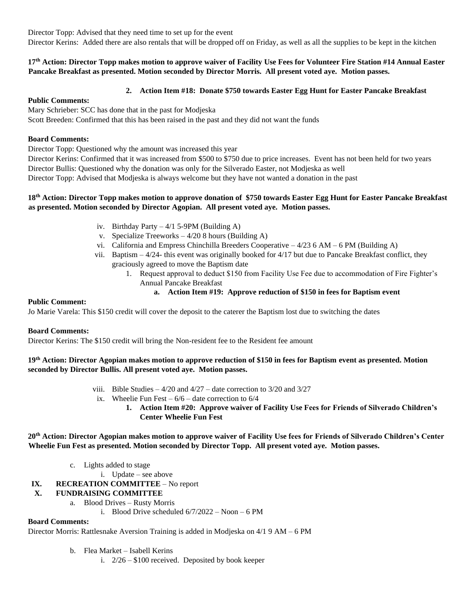Director Topp: Advised that they need time to set up for the event

Director Kerins: Added there are also rentals that will be dropped off on Friday, as well as all the supplies to be kept in the kitchen

## **17th Action: Director Topp makes motion to approve waiver of Facility Use Fees for Volunteer Fire Station #14 Annual Easter Pancake Breakfast as presented. Motion seconded by Director Morris. All present voted aye. Motion passes.**

## **2. Action Item #18: Donate \$750 towards Easter Egg Hunt for Easter Pancake Breakfast**

#### **Public Comments:**

Mary Schrieber: SCC has done that in the past for Modjeska Scott Breeden: Confirmed that this has been raised in the past and they did not want the funds

## **Board Comments:**

Director Topp: Questioned why the amount was increased this year

Director Kerins: Confirmed that it was increased from \$500 to \$750 due to price increases. Event has not been held for two years Director Bullis: Questioned why the donation was only for the Silverado Easter, not Modjeska as well Director Topp: Advised that Modjeska is always welcome but they have not wanted a donation in the past

## **18th Action: Director Topp makes motion to approve donation of \$750 towards Easter Egg Hunt for Easter Pancake Breakfast as presented. Motion seconded by Director Agopian. All present voted aye. Motion passes.**

- iv. Birthday Party  $-4/1$  5-9PM (Building A)
- v. Specialize Treeworks 4/20 8 hours (Building A)
- vi. California and Empress Chinchilla Breeders Cooperative 4/23 6 AM 6 PM (Building A)
- vii. Baptism 4/24- this event was originally booked for 4/17 but due to Pancake Breakfast conflict, they graciously agreed to move the Baptism date
	- 1. Request approval to deduct \$150 from Facility Use Fee due to accommodation of Fire Fighter's Annual Pancake Breakfast

## **a. Action Item #19: Approve reduction of \$150 in fees for Baptism event**

#### **Public Comment:**

Jo Marie Varela: This \$150 credit will cover the deposit to the caterer the Baptism lost due to switching the dates

## **Board Comments:**

Director Kerins: The \$150 credit will bring the Non-resident fee to the Resident fee amount

## **19th Action: Director Agopian makes motion to approve reduction of \$150 in fees for Baptism event as presented. Motion seconded by Director Bullis. All present voted aye. Motion passes.**

- viii. Bible Studies  $4/20$  and  $4/27$  date correction to  $3/20$  and  $3/27$
- ix. Wheelie Fun Fest  $-6/6$  date correction to  $6/4$ 
	- **1. Action Item #20: Approve waiver of Facility Use Fees for Friends of Silverado Children's Center Wheelie Fun Fest**

## **20th Action: Director Agopian makes motion to approve waiver of Facility Use fees for Friends of Silverado Children's Center Wheelie Fun Fest as presented. Motion seconded by Director Topp. All present voted aye. Motion passes.**

- c. Lights added to stage
	- i. Update see above
- **IX. RECREATION COMMITTEE** No report

## **X. FUNDRAISING COMMITTEE**

a. Blood Drives – Rusty Morris

i. Blood Drive scheduled 6/7/2022 – Noon – 6 PM

## **Board Comments:**

Director Morris: Rattlesnake Aversion Training is added in Modjeska on 4/1 9 AM – 6 PM

- b. Flea Market Isabell Kerins
	- i. 2/26 \$100 received. Deposited by book keeper